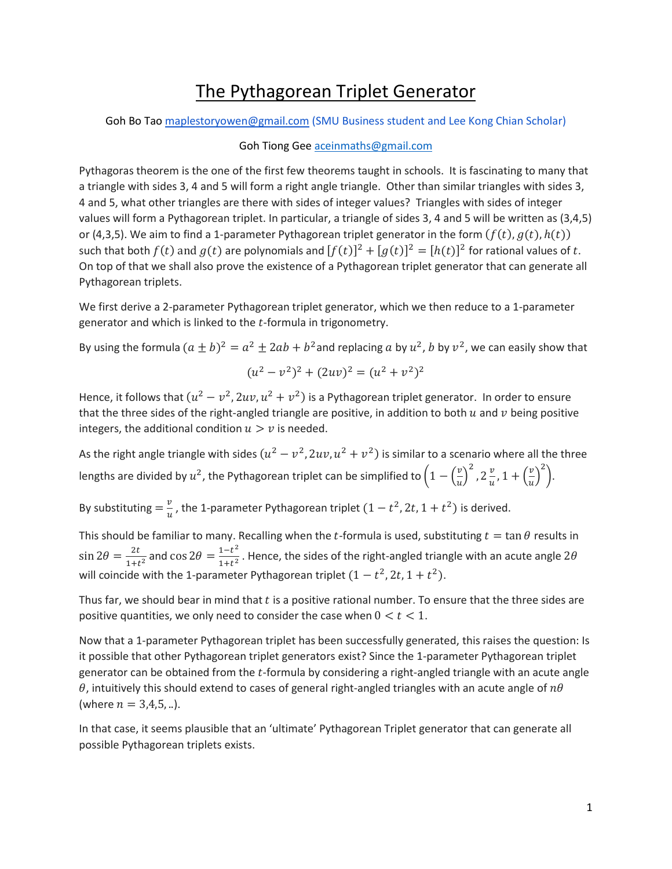## The Pythagorean Triplet Generator

Goh Bo Tao [maplestoryowen@gmail.com](mailto:maplestoryowen@gmail.com) (SMU Business student and Lee Kong Chian Scholar)

## Goh Tiong Gee [aceinmaths@gmail.com](mailto:aceinmaths@gmail.com)

Pythagoras theorem is the one of the first few theorems taught in schools. It is fascinating to many that a triangle with sides 3, 4 and 5 will form a right angle triangle. Other than similar triangles with sides 3, 4 and 5, what other triangles are there with sides of integer values? Triangles with sides of integer values will form a Pythagorean triplet. In particular, a triangle of sides 3, 4 and 5 will be written as (3,4,5) or (4,3,5). We aim to find a 1-parameter Pythagorean triplet generator in the form  $(f(t), g(t), h(t))$ such that both  $f(t)$  and  $g(t)$  are polynomials and  $[f(t)]^2 + [g(t)]^2 = [h(t)]^2$  for rational values of t. On top of that we shall also prove the existence of a Pythagorean triplet generator that can generate all Pythagorean triplets.

We first derive a 2-parameter Pythagorean triplet generator, which we then reduce to a 1-parameter generator and which is linked to the  $t$ -formula in trigonometry.

By using the formula  $(a \pm b)^2 = a^2 \pm 2ab + b^2$ and replacing a by  $u^2$ , b by  $v^2$ , we can easily show that

$$
(u^2 - v^2)^2 + (2uv)^2 = (u^2 + v^2)^2
$$

Hence, it follows that  $(u^2 - v^2, 2uv, u^2 + v^2)$  is a Pythagorean triplet generator. In order to ensure that the three sides of the right-angled triangle are positive, in addition to both  $u$  and  $v$  being positive integers, the additional condition  $u > v$  is needed.

As the right angle triangle with sides  $(u^2 - v^2, 2uv, u^2 + v^2)$  is similar to a scenario where all the three lengths are divided by  $u^2$ , the Pythagorean triplet can be simplified to  $\left(1 - \left(\frac{v}{u}\right)^2\right)$  $\left(\frac{v}{u}\right)^2$ ,  $2\frac{v}{u}$  $\frac{v}{u}$ , 1 +  $\left(\frac{v}{u}\right)$  $\left(\frac{v}{u}\right)^2$ .

By substituting  $=\frac{v}{v}$  $\frac{v}{u}$ , the 1-parameter Pythagorean triplet  $(1-t^2, 2t, 1+t^2)$  is derived.

This should be familiar to many. Recalling when the t-formula is used, substituting  $t = \tan \theta$  results in  $\sin 2\theta = \frac{2t}{1+t}$  $\frac{2t}{1+t^2}$  and cos  $2\theta = \frac{1-t^2}{1+t^2}$  $\frac{1-e}{1+t^2}$ . Hence, the sides of the right-angled triangle with an acute angle  $2\theta$ will coincide with the 1-parameter Pythagorean triplet  $(1-t^2, 2t, 1+t^2)$ .

Thus far, we should bear in mind that  $t$  is a positive rational number. To ensure that the three sides are positive quantities, we only need to consider the case when  $0 < t < 1$ .

Now that a 1-parameter Pythagorean triplet has been successfully generated, this raises the question: Is it possible that other Pythagorean triplet generators exist? Since the 1-parameter Pythagorean triplet generator can be obtained from the t-formula by considering a right-angled triangle with an acute angle  $\theta$ , intuitively this should extend to cases of general right-angled triangles with an acute angle of  $n\theta$ (where  $n = 3,4,5, ...$ ).

In that case, it seems plausible that an 'ultimate' Pythagorean Triplet generator that can generate all possible Pythagorean triplets exists.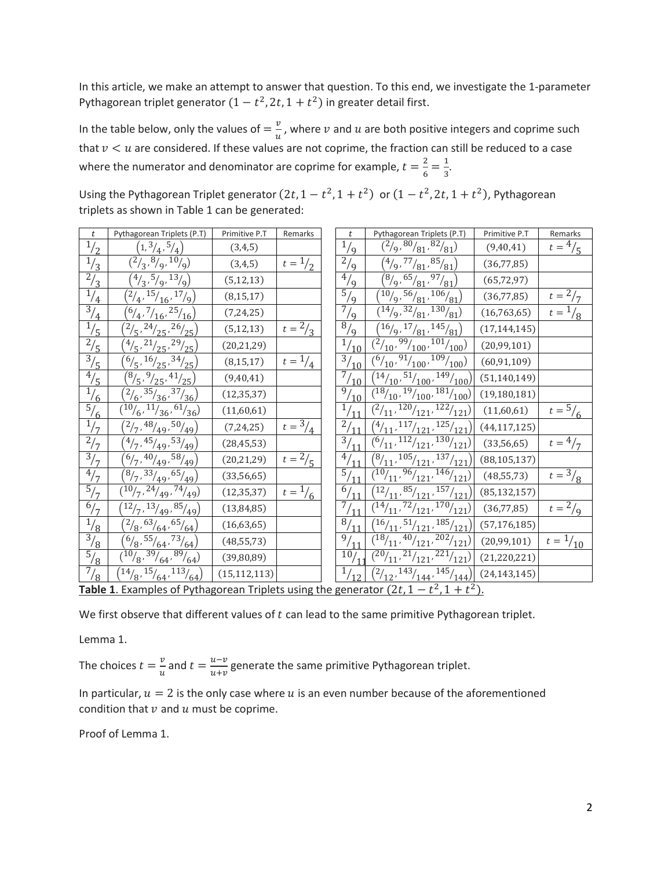In this article, we make an attempt to answer that question. To this end, we investigate the 1-parameter Pythagorean triplet generator  $(1-t^2, 2t, 1+t^2)$  in greater detail first.

In the table below, only the values of  $=\frac{v}{v}$  $\frac{\nu}{u}$ , where  $v$  and  $u$  are both positive integers and coprime such that  $v < u$  are considered. If these values are not coprime, the fraction can still be reduced to a case where the numerator and denominator are coprime for example,  $t = \frac{2}{6}$  $\frac{2}{6} = \frac{1}{3}$  $\frac{1}{3}$ .

Using the Pythagorean Triplet generator  $(2t, 1 - t^2, 1 + t^2)$  or  $(1 - t^2, 2t, 1 + t^2)$ , Pythagorean triplets as shown in Table 1 can be generated:

| $\boldsymbol{t}$ | Pythagorean Triplets (P.T)                                                                                                                                                                                                                                                                                                          | Primitive P.T                                                                                                                                                                                                                                                                                                                                                                                                                                                      | Remarks |                                                                                                                 | $\boldsymbol{t}$  | Pythagorean Triplets (P.T)                                                                                                                                                                           | Primitive P.T                                                                                                                                                                                                                                                                                                                                                                                                                                                                                                                                                                                                                                                                                                                                                                                                                                                                                   | Remarks                  |
|------------------|-------------------------------------------------------------------------------------------------------------------------------------------------------------------------------------------------------------------------------------------------------------------------------------------------------------------------------------|--------------------------------------------------------------------------------------------------------------------------------------------------------------------------------------------------------------------------------------------------------------------------------------------------------------------------------------------------------------------------------------------------------------------------------------------------------------------|---------|-----------------------------------------------------------------------------------------------------------------|-------------------|------------------------------------------------------------------------------------------------------------------------------------------------------------------------------------------------------|-------------------------------------------------------------------------------------------------------------------------------------------------------------------------------------------------------------------------------------------------------------------------------------------------------------------------------------------------------------------------------------------------------------------------------------------------------------------------------------------------------------------------------------------------------------------------------------------------------------------------------------------------------------------------------------------------------------------------------------------------------------------------------------------------------------------------------------------------------------------------------------------------|--------------------------|
|                  | (1, 3/4, 5/4)                                                                                                                                                                                                                                                                                                                       | (3,4,5)                                                                                                                                                                                                                                                                                                                                                                                                                                                            |         |                                                                                                                 | $\frac{1}{9}$     | $({}^2/\text{9}, {}^{80}\text{/}{}_{81}, {}^{82}\text{/}{}_{81})$                                                                                                                                    | (9,40,41)                                                                                                                                                                                                                                                                                                                                                                                                                                                                                                                                                                                                                                                                                                                                                                                                                                                                                       | $t = \frac{4}{5}$        |
|                  | $\binom{2}{3}$ , $\binom{8}{9}$ , $\binom{10}{9}$                                                                                                                                                                                                                                                                                   | (3, 4, 5)                                                                                                                                                                                                                                                                                                                                                                                                                                                          |         |                                                                                                                 | $^{2}/_{9}$       |                                                                                                                                                                                                      | (36, 77, 85)                                                                                                                                                                                                                                                                                                                                                                                                                                                                                                                                                                                                                                                                                                                                                                                                                                                                                    |                          |
|                  | $\binom{4}{3}$ , $\frac{5}{9}$ , $\binom{13}{9}$                                                                                                                                                                                                                                                                                    | (5, 12, 13)                                                                                                                                                                                                                                                                                                                                                                                                                                                        |         |                                                                                                                 |                   |                                                                                                                                                                                                      | (65, 72, 97)                                                                                                                                                                                                                                                                                                                                                                                                                                                                                                                                                                                                                                                                                                                                                                                                                                                                                    |                          |
|                  |                                                                                                                                                                                                                                                                                                                                     | (8, 15, 17)                                                                                                                                                                                                                                                                                                                                                                                                                                                        |         |                                                                                                                 |                   |                                                                                                                                                                                                      | (36, 77, 85)                                                                                                                                                                                                                                                                                                                                                                                                                                                                                                                                                                                                                                                                                                                                                                                                                                                                                    | $t = \frac{2}{7}$        |
|                  |                                                                                                                                                                                                                                                                                                                                     | (7, 24, 25)                                                                                                                                                                                                                                                                                                                                                                                                                                                        |         |                                                                                                                 |                   |                                                                                                                                                                                                      | (16, 763, 65)                                                                                                                                                                                                                                                                                                                                                                                                                                                                                                                                                                                                                                                                                                                                                                                                                                                                                   | $t = \frac{1}{8}$        |
|                  | $\binom{2}{5}$ , $\frac{24}{25}$ , $\frac{26}{25}$                                                                                                                                                                                                                                                                                  | (5, 12, 13)                                                                                                                                                                                                                                                                                                                                                                                                                                                        |         |                                                                                                                 |                   | $\left( \frac{16}{9}, \frac{17}{81}, \frac{145}{81} \right)$                                                                                                                                         | (17, 144, 145)                                                                                                                                                                                                                                                                                                                                                                                                                                                                                                                                                                                                                                                                                                                                                                                                                                                                                  |                          |
|                  |                                                                                                                                                                                                                                                                                                                                     | (20, 21, 29)                                                                                                                                                                                                                                                                                                                                                                                                                                                       |         |                                                                                                                 |                   |                                                                                                                                                                                                      | (20, 99, 101)                                                                                                                                                                                                                                                                                                                                                                                                                                                                                                                                                                                                                                                                                                                                                                                                                                                                                   |                          |
|                  |                                                                                                                                                                                                                                                                                                                                     | (8, 15, 17)                                                                                                                                                                                                                                                                                                                                                                                                                                                        |         |                                                                                                                 |                   |                                                                                                                                                                                                      | (60, 91, 109)                                                                                                                                                                                                                                                                                                                                                                                                                                                                                                                                                                                                                                                                                                                                                                                                                                                                                   |                          |
|                  |                                                                                                                                                                                                                                                                                                                                     | (9,40,41)                                                                                                                                                                                                                                                                                                                                                                                                                                                          |         |                                                                                                                 |                   |                                                                                                                                                                                                      | (51, 140, 149)                                                                                                                                                                                                                                                                                                                                                                                                                                                                                                                                                                                                                                                                                                                                                                                                                                                                                  |                          |
|                  | $\binom{2}{6}$ , $\frac{35}{36}$ , $\frac{37}{36}$                                                                                                                                                                                                                                                                                  | (12, 35, 37)                                                                                                                                                                                                                                                                                                                                                                                                                                                       |         |                                                                                                                 | $^{\prime}/_{10}$ |                                                                                                                                                                                                      | (19, 180, 181)                                                                                                                                                                                                                                                                                                                                                                                                                                                                                                                                                                                                                                                                                                                                                                                                                                                                                  |                          |
|                  |                                                                                                                                                                                                                                                                                                                                     | (11,60,61)                                                                                                                                                                                                                                                                                                                                                                                                                                                         |         |                                                                                                                 |                   |                                                                                                                                                                                                      | (11,60,61)                                                                                                                                                                                                                                                                                                                                                                                                                                                                                                                                                                                                                                                                                                                                                                                                                                                                                      | $t = \frac{5}{6}$        |
|                  | $\binom{2}{7}$ , 48/ <sub>49</sub> , 50/ <sub>49</sub> )                                                                                                                                                                                                                                                                            | (7, 24, 25)                                                                                                                                                                                                                                                                                                                                                                                                                                                        |         |                                                                                                                 |                   |                                                                                                                                                                                                      | (44, 117, 125)                                                                                                                                                                                                                                                                                                                                                                                                                                                                                                                                                                                                                                                                                                                                                                                                                                                                                  |                          |
|                  |                                                                                                                                                                                                                                                                                                                                     | (28, 45, 53)                                                                                                                                                                                                                                                                                                                                                                                                                                                       |         |                                                                                                                 |                   |                                                                                                                                                                                                      | (33, 56, 65)                                                                                                                                                                                                                                                                                                                                                                                                                                                                                                                                                                                                                                                                                                                                                                                                                                                                                    | $t = \frac{4}{7}$        |
|                  | $\binom{6}{7}$ , 40/ <sub>49</sub> , 58/ <sub>49</sub> )                                                                                                                                                                                                                                                                            | (20, 21, 29)                                                                                                                                                                                                                                                                                                                                                                                                                                                       |         |                                                                                                                 |                   |                                                                                                                                                                                                      | (88, 105, 137)                                                                                                                                                                                                                                                                                                                                                                                                                                                                                                                                                                                                                                                                                                                                                                                                                                                                                  |                          |
|                  | $\binom{8}{7}$ , 33/ <sub>49</sub> , 65/ <sub>49</sub> )                                                                                                                                                                                                                                                                            | (33,56,65)                                                                                                                                                                                                                                                                                                                                                                                                                                                         |         |                                                                                                                 |                   |                                                                                                                                                                                                      | (48, 55, 73)                                                                                                                                                                                                                                                                                                                                                                                                                                                                                                                                                                                                                                                                                                                                                                                                                                                                                    | $t = \frac{3}{8}$        |
|                  |                                                                                                                                                                                                                                                                                                                                     | (12, 35, 37)                                                                                                                                                                                                                                                                                                                                                                                                                                                       |         |                                                                                                                 | $'$ 11            |                                                                                                                                                                                                      | (85, 132, 157)                                                                                                                                                                                                                                                                                                                                                                                                                                                                                                                                                                                                                                                                                                                                                                                                                                                                                  |                          |
|                  | (12/7, 13/49, 85/49)                                                                                                                                                                                                                                                                                                                | (13, 84, 85)                                                                                                                                                                                                                                                                                                                                                                                                                                                       |         |                                                                                                                 |                   |                                                                                                                                                                                                      | (36, 77, 85)                                                                                                                                                                                                                                                                                                                                                                                                                                                                                                                                                                                                                                                                                                                                                                                                                                                                                    | $t = \frac{2}{9}$        |
|                  | $\binom{2}{8}$ , $\binom{63}{64}$ , $\binom{65}{64}$                                                                                                                                                                                                                                                                                | (16, 63, 65)                                                                                                                                                                                                                                                                                                                                                                                                                                                       |         |                                                                                                                 |                   |                                                                                                                                                                                                      | (57, 176, 185)                                                                                                                                                                                                                                                                                                                                                                                                                                                                                                                                                                                                                                                                                                                                                                                                                                                                                  |                          |
|                  |                                                                                                                                                                                                                                                                                                                                     | (48, 55, 73)                                                                                                                                                                                                                                                                                                                                                                                                                                                       |         |                                                                                                                 |                   |                                                                                                                                                                                                      | (20, 99, 101)                                                                                                                                                                                                                                                                                                                                                                                                                                                                                                                                                                                                                                                                                                                                                                                                                                                                                   | $t = \frac{1}{10}$       |
|                  |                                                                                                                                                                                                                                                                                                                                     | (39,80,89)                                                                                                                                                                                                                                                                                                                                                                                                                                                         |         |                                                                                                                 |                   |                                                                                                                                                                                                      | (21, 220, 221)                                                                                                                                                                                                                                                                                                                                                                                                                                                                                                                                                                                                                                                                                                                                                                                                                                                                                  |                          |
|                  | $\left( \frac{14}{8}, \frac{15}{64}, \frac{113}{64} \right)$                                                                                                                                                                                                                                                                        | (15, 112, 113)                                                                                                                                                                                                                                                                                                                                                                                                                                                     |         |                                                                                                                 | $^{1/12}$         | $\left( \frac{2}{12}, \frac{143}{144}, \frac{145}{144} \right)$                                                                                                                                      | (24, 143, 145)                                                                                                                                                                                                                                                                                                                                                                                                                                                                                                                                                                                                                                                                                                                                                                                                                                                                                  |                          |
|                  | $\frac{1}{2}$<br>$\frac{1}{3}$<br>$\frac{2}{3}$<br>$^{1/4}$<br>$\frac{3}{4}$<br>$\frac{1}{5}$<br>$^{2}/_{5}$<br>$\frac{3}{5}$<br>$\frac{4}{5}$<br>$^{1/6}$<br>$\frac{5}{6}$<br>$\frac{1}{7}$<br>$^{2}/_{7}$<br>$\frac{3}{7}$<br>$^{4}/_{7}$<br>$\frac{5}{7}$<br>$^{6/7}$<br>$^{1/3}$<br>$\frac{3}{8}$<br>$\frac{5}{8}$<br>$^{7}/_8$ | $\binom{2}{4}$ , $\frac{15}{16}$ , $\frac{17}{9}$<br>$({}^{6}/_{4}, {}^{7}/_{16}, {}^{25}/_{16})$<br>$\frac{(4/5, 21/25, 29/25)}{2}$<br>$\left(\frac{6}{5},\frac{16}{25},\frac{34}{25}\right)$<br>$\sqrt[3]{\frac{8}{5},\frac{9}{25},\frac{41}{25}}$<br>$\frac{10}{6}$ , $\frac{11}{36}$ , $\frac{61}{36}$<br>$\sqrt[4]{7,45}/49,53}/49)$<br>$\overline{(10/7}, 24/49, 74/49)$<br>$\left(\frac{6}{8}, \frac{55}{64}, \frac{73}{64}\right)$<br>(10/8, 39/64, 89/64) |         | $t = \frac{1}{2}$<br>$\frac{1}{t = \frac{2}{3}}$<br>$t = \frac{1}{4}$<br>$t = \frac{2}{5}$<br>$t = \frac{1}{6}$ | $t = \frac{3}{4}$ | $\frac{4}{9}$<br>$\frac{5}{9}$<br>$\frac{7}{9}$<br>$\frac{8}{9}$<br>9/<br>$^{1/11}$<br>$2^{1}$<br>$\frac{4}{1}$<br>$\frac{5}{1}$<br>6/<br>$\frac{7}{1}$<br>$\overline{\frac{8}{1}}$<br>$\frac{9}{1}$ | $({}^4/\text{9}, {}^{77}\text{/}81, {}^{85}\text{/}81)$<br>$\binom{8}{9}$ , $\frac{65}{81}$ , $\frac{97}{81}$<br>$\sqrt{10}_{9}$ , 56/ <sub>81</sub> , 106/ <sub>81</sub> )<br>$\frac{(14}{9}, \frac{32}{81}, \frac{130}{81})$<br>$\frac{(2}{10}, \frac{99}{100}, \frac{101}{100})$<br>$^{1/10}$<br>$\frac{3}{10}$<br>(6/10, 91/100, 109/100)<br>$^{7}/_{10}$<br>$\sqrt[14]{10}$ , $\frac{51}{100}$ , $\frac{149}{100}$<br>$\binom{18}{10}$ , $\frac{19}{100}$ , $\frac{181}{100}$<br>$\binom{2}{11}$ , $\frac{120}{121}$ , $\frac{122}{121}$<br>$\sqrt[4]{4_{11}}$ , 117/ <sub>121</sub> , 125/ <sub>121</sub> )<br>$\frac{3}{11}$<br>(6/11, 112/121, 130/121)<br>$\sqrt{\frac{8}{11}}$ , $\frac{105}{121}$ , $\frac{137}{121}$<br>(12/11, 85/121, 157/121)<br>(14/11, 72/121, 170/121)<br>(16/11, 51/121, 185/121)<br>(18/11, 40/121, 202/121)<br>(20/11, 21/121, 221/121)<br>$\frac{10}{10}$ | (10/11, 96/121, 146/121) |

**Table 1.** Examples of Pythagorean Triplets using the generator  $(2t, 1 - t^2, 1 + t^2)$ .

We first observe that different values of  $t$  can lead to the same primitive Pythagorean triplet.

Lemma 1.

The choices  $t = \frac{v}{v}$  $\frac{v}{u}$  and  $t = \frac{u-v}{u+v}$  $\frac{u}{u+v}$  generate the same primitive Pythagorean triplet.

In particular,  $u = 2$  is the only case where u is an even number because of the aforementioned condition that  $\nu$  and  $\nu$  must be coprime.

Proof of Lemma 1.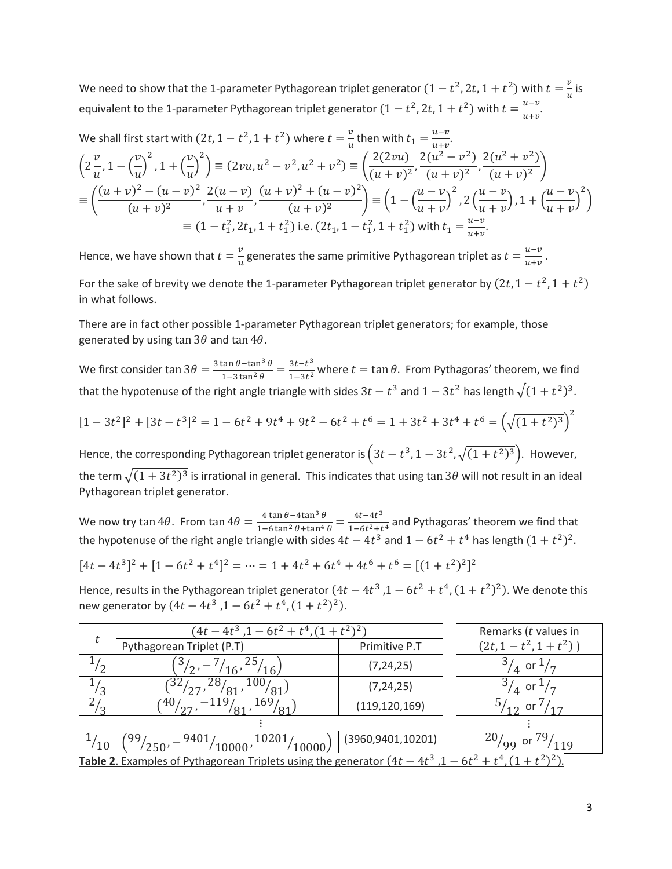We need to show that the 1-parameter Pythagorean triplet generator  $(1-t^2, 2t, 1+t^2)$  with  $t=\frac{v}{v}$  $\frac{v}{u}$  is equivalent to the 1-parameter Pythagorean triplet generator  $(1-t^2, 2t, 1+t^2)$  with  $t=\frac{u-v}{u+w}$  $\frac{u-\nu}{u+\nu}$ .

We shall first start with 
$$
(2t, 1 - t^2, 1 + t^2)
$$
 where  $t = \frac{v}{u}$  then with  $t_1 = \frac{u-v}{u+v}$ .  
\n
$$
\left(2\frac{v}{u}, 1 - \left(\frac{v}{u}\right)^2, 1 + \left(\frac{v}{u}\right)^2\right) \equiv (2vu, u^2 - v^2, u^2 + v^2) \equiv \left(\frac{2(2vu)}{(u+v)^2}, \frac{2(u^2 - v^2)}{(u+v)^2}, \frac{2(u^2 + v^2)}{(u+v)^2}\right)
$$
\n
$$
\equiv \left(\frac{(u+v)^2 - (u-v)^2}{(u+v)^2}, \frac{2(u-v)}{u+v}, \frac{(u+v)^2 + (u-v)^2}{(u+v)^2}\right) \equiv \left(1 - \left(\frac{u-v}{u+v}\right)^2, 2\left(\frac{u-v}{u+v}\right), 1 + \left(\frac{u-v}{u+v}\right)^2\right)
$$
\n
$$
\equiv (1 - t_1^2, 2t_1, 1 + t_1^2) \text{ i.e. } (2t_1, 1 - t_1^2, 1 + t_1^2) \text{ with } t_1 = \frac{u-v}{u+v}.
$$

Hence, we have shown that  $t = \frac{v}{v}$  $\frac{v}{u}$  generates the same primitive Pythagorean triplet as  $t = \frac{u-v}{u+v}$  $\frac{u}{u+v}$ . For the sake of brevity we denote the 1-parameter Pythagorean triplet generator by  $(2t, 1-t^2, 1+t^2)$ in what follows.

There are in fact other possible 1-parameter Pythagorean triplet generators; for example, those generated by using tan  $3\theta$  and tan  $4\theta$ .

We first consider  $\tan 3\theta = \frac{3\tan\theta - \tan^3\theta}{1 - 3\tan^2\theta}$  $\frac{\tan \theta - \tan^3 \theta}{1 - 3 \tan^2 \theta} = \frac{3t - t^3}{1 - 3t^2}$  $\frac{3t-t}{1-3t^2}$  where  $t = \tan \theta$ . From Pythagoras' theorem, we find that the hypotenuse of the right angle triangle with sides  $3t - t^3$  and  $1 - 3t^2$  has length  $\sqrt{(1 + t^2)^3}$ .

 $[1 - 3t^2]^2 + [3t - t^3]^2 = 1 - 6t^2 + 9t^4 + 9t^2 - 6t^2 + t^6 = 1 + 3t^2 + 3t^4 + t^6 = (\sqrt{(1 + t^2)^3})^2$ 

Hence, the corresponding Pythagorean triplet generator is  $(3t-t^3, 1-3t^2, \sqrt{(1+t^2)^3})$ . However, the term  $\sqrt{(1+3t^2)^3}$  is irrational in general. This indicates that using tan 3 $\theta$  will not result in an ideal Pythagorean triplet generator.

We now try tan 4 $\theta$ . From tan  $4\theta = \frac{4 \tan \theta - 4 \tan^3 \theta}{4 \sqrt{(\tan^2 \theta + \tan^4 \theta)}}$  $\frac{4 \tan \theta - 4 \tan^3 \theta}{1 - 6 \tan^2 \theta + \tan^4 \theta} = \frac{4t - 4t^3}{1 - 6t^2 + t^2}$  $\frac{4t}{1-6t^2+t^4}$  and Pythagoras' theorem we find that the hypotenuse of the right angle triangle with sides  $4t - 4t^3$  and  $1 - 6t^2 + t^4$  has length  $(1 + t^2)^2$ .

 $[4t - 4t^3]^2 + [1 - 6t^2 + t^4]^2 = \dots = 1 + 4t^2 + 6t^4 + 4t^6 + t^6 = [(1 + t^2)^2]^2$ 

Hence, results in the Pythagorean triplet generator  $(4t - 4t^3, 1 - 6t^2 + t^4, (1 + t^2)^2)$ . We denote this new generator by  $(4t - 4t^3, 1 - 6t^2 + t^4, (1 + t^2)^2)$ .

|                                                                                                       | $(4t-4t^3, 1-6t^2+t^4, (1+t^2)^2)$        |                   | Remarks (t values in |                      |  |  |  |
|-------------------------------------------------------------------------------------------------------|-------------------------------------------|-------------------|----------------------|----------------------|--|--|--|
| t                                                                                                     | Pythagorean Triplet (P.T)                 | Primitive P.T     |                      | $(2t, 1-t^2, 1+t^2)$ |  |  |  |
| ാ                                                                                                     | 16'<br>16 <sub>1</sub>                    | (7, 24, 25)       |                      | or                   |  |  |  |
| ി                                                                                                     | 32,                                       | (7, 24, 25)       |                      | or                   |  |  |  |
| ി                                                                                                     | $-119$<br>169<br>40 ⁄                     | (119, 120, 169)   |                      | - or                 |  |  |  |
|                                                                                                       |                                           |                   |                      |                      |  |  |  |
| 10                                                                                                    | 10201<br>9401/<br>'250'<br>10000<br>10000 | (3960,9401,10201) |                      | or                   |  |  |  |
| <b>Table 2.</b> Examples of Pythagorean Triplets using the generator $(4t - 4t^3, 1 - 6t^2 + t^4, 1)$ |                                           |                   |                      |                      |  |  |  |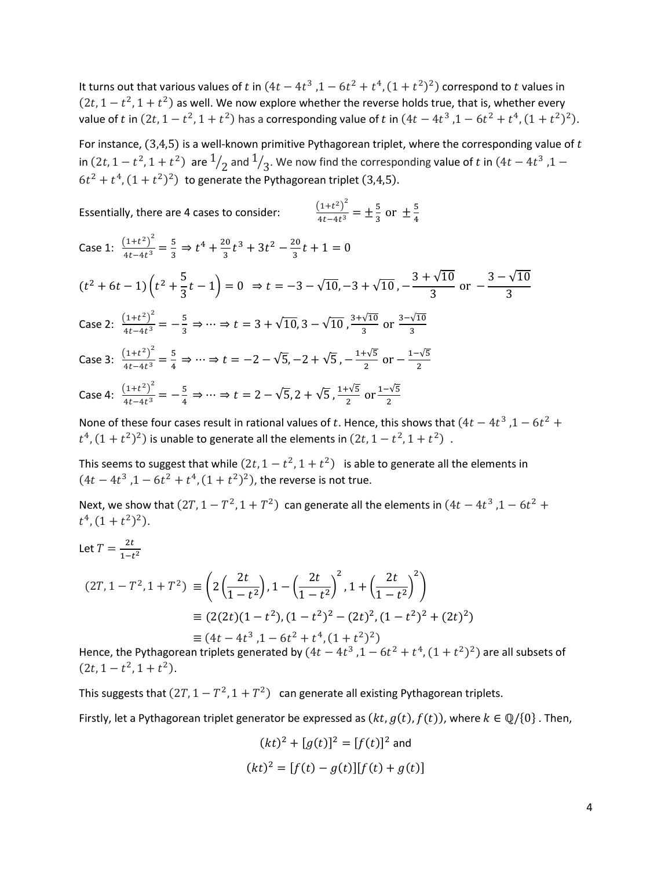It turns out that various values of t in  $(4t - 4t^3, 1 - 6t^2 + t^4, (1 + t^2)^2)$  correspond to t values in  $(2t, 1-t^2, 1+t^2)$  as well. We now explore whether the reverse holds true, that is, whether every value of t in  $(2t, 1 - t^2, 1 + t^2)$  has a corresponding value of t in  $(4t - 4t^3, 1 - 6t^2 + t^4, (1 + t^2)^2)$ .

For instance,  $(3,4,5)$  is a well-known primitive Pythagorean triplet, where the corresponding value of t in  $(2t, 1-t^2, 1+t^2)$  are  $1/2$  and  $1/3$ . We now find the corresponding value of  $t$  in  $(4t-4t^3, 1-t^2)$  $6t^2 + t^4$ ,  $(1+t^2)^2$ ) to generate the Pythagorean triplet (3,4,5).

Essentially, there are 4 cases to consider:

$$
\frac{(1+t^2)^2}{4t-4t^3} = \pm \frac{5}{3} \text{ or } \pm \frac{5}{4}
$$

3

Case 1:  $\frac{(1+t^2)^2}{4t-4t^3}$  $\frac{\left(1+t^2\right)^2}{4t-4t^3} = \frac{5}{3}$  $rac{5}{3}$   $\Rightarrow$   $t^4$  +  $rac{20}{3}$  $\frac{20}{3}t^3 + 3t^2 - \frac{20}{3}$  $\frac{20}{3}t+1=0$  $(t^2+6t-1)\left(t^2+\frac{5}{2}\right)$  $\left(\frac{1}{3}t-1\right)=0 \Rightarrow t=-3-\sqrt{10},-3+\sqrt{10}, 3 + \sqrt{10}$  $\frac{\sqrt{10}}{3}$  or  $-\frac{3-\sqrt{10}}{3}$ 2 2

Case 2: 
$$
\frac{(1+t^2)^2}{4t-4t^3} = -\frac{5}{3} \Rightarrow \dots \Rightarrow t = 3 + \sqrt{10}, 3 - \sqrt{10}, \frac{3+\sqrt{10}}{3} \text{ or } \frac{3-\sqrt{10}}{3}
$$

Case 3:  $\frac{(1+t^2)^2}{4t-4t^3}$  $\frac{(1+t^2)^2}{4t-4t^3} = \frac{5}{4}$  $\frac{5}{4}$  ⇒ … ⇒  $t = -2 - \sqrt{5}$ ,  $-2 + \sqrt{5}$ ,  $-\frac{1+\sqrt{5}}{2}$  $\frac{1-\sqrt{5}}{2}$  or  $-\frac{1-\sqrt{5}}{2}$ 2

Case 4: 
$$
\frac{(1+t^2)^2}{4t-4t^3} = -\frac{5}{4} \Rightarrow \dots \Rightarrow t = 2 - \sqrt{5}, 2 + \sqrt{5}, \frac{1+\sqrt{5}}{2}
$$
 or  $\frac{1-\sqrt{5}}{2}$ 

None of these four cases result in rational values of t. Hence, this shows that  $(4t - 4t^3, 1 - 6t^2 +$  $t^4$ ,  $(1+t^2)^2$ ) is unable to generate all the elements in  $(2t, 1-t^2, 1+t^2)$ .

This seems to suggest that while  $(2t, 1 - t^2, 1 + t^2)$  is able to generate all the elements in  $(4t - 4t^3, 1 - 6t^2 + t^4, (1 + t^2)^2)$ , the reverse is not true.

Next, we show that  $(2T, 1 - T^2, 1 + T^2)$  can generate all the elements in  $(4t - 4t^3, 1 - 6t^2 +$  $t^4$ ,  $(1+t^2)^2$ ).

Let 
$$
T = \frac{2t}{1-t^2}
$$
  
\n
$$
(2T, 1 - T^2, 1 + T^2) \equiv \left(2\left(\frac{2t}{1-t^2}\right), 1 - \left(\frac{2t}{1-t^2}\right)^2, 1 + \left(\frac{2t}{1-t^2}\right)^2\right)
$$
\n
$$
\equiv (2(2t)(1-t^2), (1-t^2)^2 - (2t)^2, (1-t^2)^2 + (2t)^2)
$$
\n
$$
\equiv (4t - 4t^3, 1 - 6t^2 + t^4, (1+t^2)^2)
$$

Hence, the Pythagorean triplets generated by  $(4t - 4t^3, 1 - 6t^2 + t^4, (1 + t^2)^2)$  are all subsets of  $(2t, 1 - t^2, 1 + t^2).$ 

This suggests that  $(2T, 1 - T^2, 1 + T^2)$  can generate all existing Pythagorean triplets.

Firstly, let a Pythagorean triplet generator be expressed as  $(kt, g(t), f(t))$ , where  $k \in \mathbb{Q}/\{0\}$ . Then,

$$
(kt)^{2} + [g(t)]^{2} = [f(t)]^{2}
$$
 and  

$$
(kt)^{2} = [f(t) - g(t)][f(t) + g(t)]
$$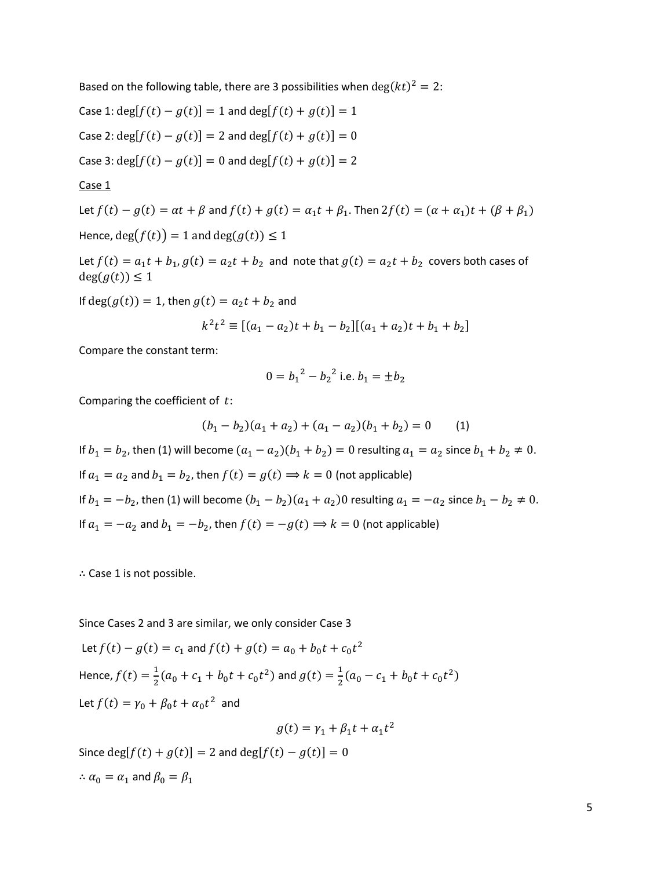Based on the following table, there are 3 possibilities when  $\deg(kt)^2 = 2$ :

Case 1:  $\deg[f(t) - g(t)] = 1$  and  $\deg[f(t) + g(t)] = 1$ Case 2:  $deg[f(t) - g(t)] = 2$  and  $deg[f(t) + g(t)] = 0$ Case 3:  $deg[f(t) - g(t)] = 0$  and  $deg[f(t) + g(t)] = 2$ 

Case 1

Let 
$$
f(t) - g(t) = \alpha t + \beta
$$
 and  $f(t) + g(t) = \alpha_1 t + \beta_1$ . Then  $2f(t) = (\alpha + \alpha_1)t + (\beta + \beta_1)$   
Hence,  $deg(f(t)) = 1$  and  $deg(g(t)) \le 1$ 

Let  $f(t) = a_1 t + b_1$ ,  $g(t) = a_2 t + b_2$  and note that  $g(t) = a_2 t + b_2$  covers both cases of  $deg(g(t)) \leq 1$ 

If  $deg(g(t)) = 1$ , then  $g(t) = a_2 t + b_2$  and

$$
k^{2}t^{2} \equiv [(a_{1} - a_{2})t + b_{1} - b_{2}][(a_{1} + a_{2})t + b_{1} + b_{2}]
$$

Compare the constant term:

$$
0 = b_1^2 - b_2^2
$$
 i.e.  $b_1 = \pm b_2$ 

Comparing the coefficient of  $t$ :

$$
(b_1 - b_2)(a_1 + a_2) + (a_1 - a_2)(b_1 + b_2) = 0 \tag{1}
$$

If  $b_1 = b_2$ , then (1) will become  $(a_1 - a_2)(b_1 + b_2) = 0$  resulting  $a_1 = a_2$  since  $b_1 + b_2 ≠ 0$ . If  $a_1 = a_2$  and  $b_1 = b_2$ , then  $f(t) = g(t) \Rightarrow k = 0$  (not applicable) If  $b_1 = -b_2$ , then (1) will become  $(b_1 - b_2)(a_1 + a_2)$ 0 resulting  $a_1 = -a_2$  since  $b_1 - b_2 ≠ 0$ . If  $a_1 = -a_2$  and  $b_1 = -b_2$ , then  $f(t) = -g(t) \Rightarrow k = 0$  (not applicable)

∴ Case 1 is not possible.

Since Cases 2 and 3 are similar, we only consider Case 3

Let 
$$
f(t) - g(t) = c_1
$$
 and  $f(t) + g(t) = a_0 + b_0 t + c_0 t^2$   
\nHence,  $f(t) = \frac{1}{2}(a_0 + c_1 + b_0 t + c_0 t^2)$  and  $g(t) = \frac{1}{2}(a_0 - c_1 + b_0 t + c_0 t^2)$   
\nLet  $f(t) = \gamma_0 + \beta_0 t + \alpha_0 t^2$  and  
\n
$$
g(t) = \gamma_1 + \beta_1 t + \alpha_1 t^2
$$

Since deg[ $f(t) + g(t)$ ] = 2 and deg[ $f(t) - g(t)$ ] = 0  $\therefore$   $\alpha_0 = \alpha_1$  and  $\beta_0 = \beta_1$